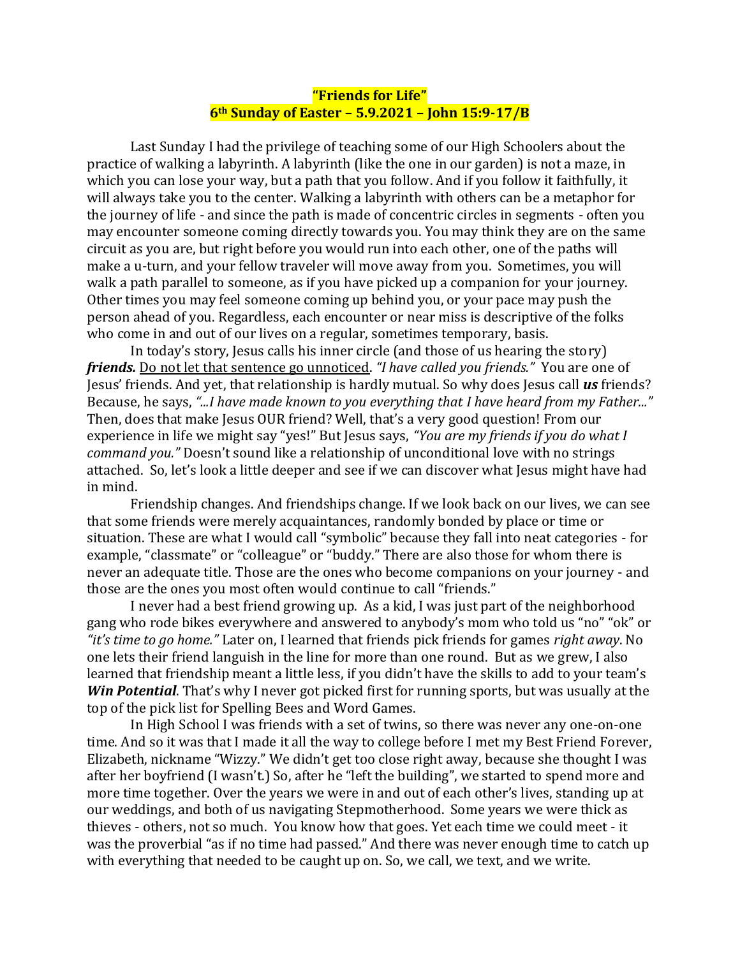## **"Friends for Life" 6th Sunday of Easter – 5.9.2021 – John 15:9-17/B**

Last Sunday I had the privilege of teaching some of our High Schoolers about the practice of walking a labyrinth. A labyrinth (like the one in our garden) is not a maze, in which you can lose your way, but a path that you follow. And if you follow it faithfully, it will always take you to the center. Walking a labyrinth with others can be a metaphor for the journey of life - and since the path is made of concentric circles in segments - often you may encounter someone coming directly towards you. You may think they are on the same circuit as you are, but right before you would run into each other, one of the paths will make a u-turn, and your fellow traveler will move away from you. Sometimes, you will walk a path parallel to someone, as if you have picked up a companion for your journey. Other times you may feel someone coming up behind you, or your pace may push the person ahead of you. Regardless, each encounter or near miss is descriptive of the folks who come in and out of our lives on a regular, sometimes temporary, basis.

In today's story, Jesus calls his inner circle (and those of us hearing the story) *friends.* Do not let that sentence go unnoticed. *"I have called you friends."* You are one of Jesus' friends. And yet, that relationship is hardly mutual. So why does Jesus call *us* friends? Because, he says, *"...I have made known to you everything that I have heard from my Father..."* Then, does that make Jesus OUR friend? Well, that's a very good question! From our experience in life we might say "yes!" But Jesus says, *"You are my friends if you do what I command you."* Doesn't sound like a relationship of unconditional love with no strings attached. So, let's look a little deeper and see if we can discover what Jesus might have had in mind.

Friendship changes. And friendships change. If we look back on our lives, we can see that some friends were merely acquaintances, randomly bonded by place or time or situation. These are what I would call "symbolic" because they fall into neat categories - for example, "classmate" or "colleague" or "buddy." There are also those for whom there is never an adequate title. Those are the ones who become companions on your journey - and those are the ones you most often would continue to call "friends."

I never had a best friend growing up. As a kid, I was just part of the neighborhood gang who rode bikes everywhere and answered to anybody's mom who told us "no" "ok" or *"it's time to go home."* Later on, I learned that friends pick friends for games *right away*. No one lets their friend languish in the line for more than one round. But as we grew, I also learned that friendship meant a little less, if you didn't have the skills to add to your team's *Win Potential*. That's why I never got picked first for running sports, but was usually at the top of the pick list for Spelling Bees and Word Games.

In High School I was friends with a set of twins, so there was never any one-on-one time. And so it was that I made it all the way to college before I met my Best Friend Forever, Elizabeth, nickname "Wizzy." We didn't get too close right away, because she thought I was after her boyfriend (I wasn't.) So, after he "left the building", we started to spend more and more time together. Over the years we were in and out of each other's lives, standing up at our weddings, and both of us navigating Stepmotherhood. Some years we were thick as thieves - others, not so much. You know how that goes. Yet each time we could meet - it was the proverbial "as if no time had passed." And there was never enough time to catch up with everything that needed to be caught up on. So, we call, we text, and we write.